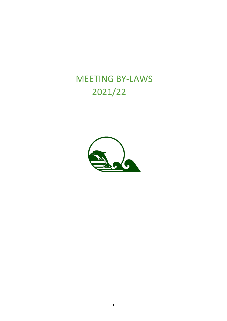# MEETING BY-LAWS 2021/22

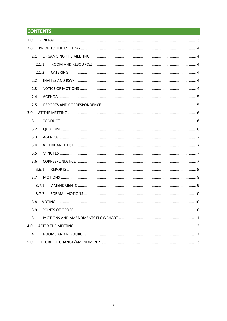# **CONTENTS**

| 1.0   |       |  |  |  |  |  |  |
|-------|-------|--|--|--|--|--|--|
| 2.0   |       |  |  |  |  |  |  |
| 2.1   |       |  |  |  |  |  |  |
| 2.1.1 |       |  |  |  |  |  |  |
|       | 2.1.2 |  |  |  |  |  |  |
| 2.2   |       |  |  |  |  |  |  |
| 2.3   |       |  |  |  |  |  |  |
| 2.4   |       |  |  |  |  |  |  |
| 2.5   |       |  |  |  |  |  |  |
| 3.0   |       |  |  |  |  |  |  |
| 3.1   |       |  |  |  |  |  |  |
| 3.2   |       |  |  |  |  |  |  |
| 3.3   |       |  |  |  |  |  |  |
| 3.4   |       |  |  |  |  |  |  |
| 3.5   |       |  |  |  |  |  |  |
| 3.6   |       |  |  |  |  |  |  |
|       | 3.6.1 |  |  |  |  |  |  |
| 3.7   |       |  |  |  |  |  |  |
| 3.7.1 |       |  |  |  |  |  |  |
|       | 3.7.2 |  |  |  |  |  |  |
| 3.8   |       |  |  |  |  |  |  |
| 3.9   |       |  |  |  |  |  |  |
| 3.1   |       |  |  |  |  |  |  |
| 4.0   |       |  |  |  |  |  |  |
| 4.1   |       |  |  |  |  |  |  |
| 5.0   |       |  |  |  |  |  |  |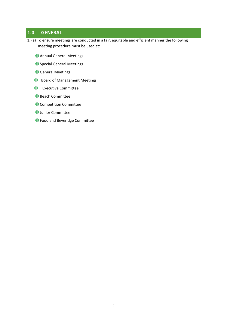# **1.0 GENERAL**

- 1. (a) To ensure meetings are conducted in a fair, equitable and efficient manner the following meeting procedure must be used at:
	- Annual General Meetings
	- **ID** Special General Meetings
	- **General Meetings**
	- **ID** Board of Management Meetings
	- Executive Committee.
	- **Beach Committee**
	- Competition Committee
	- **U** Junior Committee
	- **ID** Food and Beveridge Committee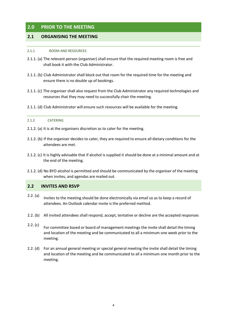# **2.0 PRIOR TO THE MEETING**

## **2.1 ORGANISING THE MEETING**

#### 2.1.1 ROOM AND RESOURCES

- 2.1.1. (a) The relevant person (organiser) shall ensure that the required meeting room is free and shall book it with the Club Administrator.
- 2.1.1. (b) Club Administrator shall block out that room for the required time for the meeting and ensure there is no double up of bookings.
- 2.1.1. (c) The organiser shall also request from the Club Administrator any required technologies and resources that they may need to successfully chair the meeting.
- 2.1.1. (d) Club Administrator will ensure such resources will be available for the meeting.

#### 2.1.2 CATERING

- 2.1.2. (a) It is at the organisers discretion as to cater for the meeting.
- 2.1.2. (b) If the organiser decides to cater, they are required to ensure all dietary conditions for the attendees are met.
- 2.1.2. (c) It is highly advisable that if alcohol is supplied it should be done at a minimal amount and at the end of the meeting.
- 2.1.2. (d) No BYO alcohol is permitted and should be communicated by the organiser of the meeting when invites, and agendas are mailed out.

#### **2.2 INVITES AND RSVP**

- 2.2. (a) Invites to the meeting should be done electronically via email so as to keep a record of attendees. An Outlook calendar invite is the preferred method.
- 2.2. (b) All invited attendees shall respond, accept, tentative or decline are the accepted responses
- 2.2. (c) For committee based or board of management meetings the invite shall detail the timing and location of the meeting and be communicated to all a minimum one week prior to the meeting.
- 2.2. (d) For an annual general meeting or special general meeting the invite shall detail the timing and location of the meeting and be communicated to all a minimum one month prior to the meeting.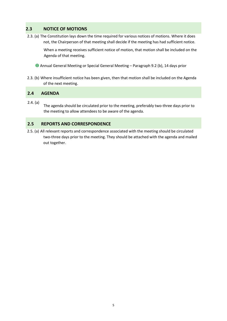# **2.3 NOTICE OF MOTIONS**

2.3. (a) The Constitution lays down the time required for various notices of motions. Where it does not, the Chairperson of that meeting shall decide if the meeting has had sufficient notice.

When a meeting receives sufficient notice of motion, that motion shall be included on the Agenda of that meeting.

Annual General Meeting or Special General Meeting – Paragraph 9.2 (b), 14 days prior

2.3. (b) Where insufficient notice has been given, then that motion shall be included on the Agenda of the next meeting.

## **2.4 AGENDA**

2.4. (a) The agenda should be circulated prior to the meeting, preferably two-three days prior to the meeting to allow attendees to be aware of the agenda.

#### **2.5 REPORTS AND CORRESPONDENCE**

2.5. (a) All relevant reports and correspondence associated with the meeting should be circulated two-three days prior to the meeting. They should be attached with the agenda and mailed out together.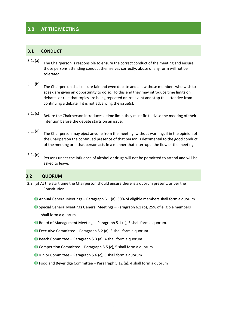# **3.0 AT THE MEETING**

#### **3.1 CONDUCT**

- 3.1. (a) The Chairperson is responsible to ensure the correct conduct of the meeting and ensure those persons attending conduct themselves correctly, abuse of any form will not be tolerated.
- 3.1. (b) The Chairperson shall ensure fair and even debate and allow those members who wish to speak are given an opportunity to do so. To this end they may introduce time limits on debates or rule that topics are being repeated or irrelevant and stop the attendee from continuing a debate if it is not advancing the issue(s).
- 3.1. (c) Before the Chairperson introduces a time limit, they must first advise the meeting of their intention before the debate starts on an issue.
- 3.1. (d) The Chairperson may eject anyone from the meeting, without warning, if in the opinion of the Chairperson the continued presence of that person is detrimental to the good conduct of the meeting or if that person acts in a manner that interrupts the flow of the meeting.
- 3.1. (e) Persons under the influence of alcohol or drugs will not be permitted to attend and will be asked to leave.

#### **3.2 QUORUM**

- 3.2. (a) At the start time the Chairperson should ensure there is a quorum present, as per the Constitution.
	- Annual General Meetings Paragraph 6.1 (a), 50% of eligible members shall form a quorum.
	- Special General Meetings General Meetings Paragraph 6.1 (b), 25% of eligible members shall form a quorum
	- Board of Management Meetings Paragraph 5.1 (c), 5 shall form a quorum.
	- Executive Committee Paragraph 5.2 (a), 3 shall form a quorum.
	- Beach Committee Paragraph 5.3 (a), 4 shall form a quorum
	- Competition Committee Paragraph 5.5 (c), 5 shall form a quorum
	- Junior Committee Paragraph 5.6 (c), 5 shall form a quorum
	- Food and Beveridge Committee Paragraph 5.12 (a), 4 shall form a quorum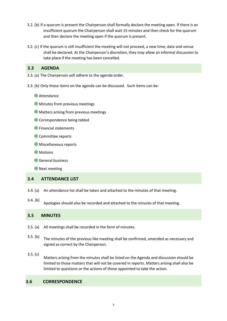- 3.2. (b) If a quorum is present the Chairperson shall formally declare the meeting open. If there is an insufficient quorum the Chairperson shall wait 15 minutes and then check for the quorum and then declare the meeting open if the quorum is present.
- 3.2. (c) If the quorum is still insufficient the meeting will not proceed, a new time, date and venue shall be declared. At the Chairperson's discretion, they may allow an informal discussion to take place if the meeting has been cancelled.

### **3.3 AGENDA**

- 3.3. (a) The Chairperson will adhere to the agenda order.
- 3.3. (b) Only those items on the agenda can be discussed. Such items can be:
	- **I**D Attendance
	- **ID** Minutes from previous meetings
	- **ID** Matters arising from previous meetings
	- **ID** Correspondence being tabled
	- Financial statements
	- **Committee reports**
	- Miscellaneous reports
	- **II** Motions
	- General business

**ID** Next meeting

#### **3.4 ATTENDANCE LIST**

- 3.4. (a) An attendance list shall be taken and attached to the minutes of that meeting.
- 3.4. (b)

Apologies should also be recorded and attached to the minutes of that meeting.

#### **3.5 MINUTES**

- 3.5. (a) All meetings shall be recorded in the form of minutes.
- 3.5. (b) The minutes of the previous like meeting shall be confirmed, amended as necessary and signed as correct by the Chairperson.
- 3.5. (c) Matters arising from the minutes shall be listed on the Agenda and discussion should be limited to those matters that will not be covered in reports. Matters arising shall also be limited to questions or the actions of those appointed to take the action.

#### **3.6 CORRESPONDENCE**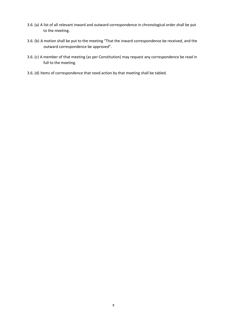- 3.6. (a) A list of all relevant inward and outward correspondence in chronological order shall be put to the meeting.
- 3.6. (b) A motion shall be put to the meeting "That the inward correspondence be received, and the outward correspondence be approved".
- 3.6. (c) A member of that meeting (as per Constitution) may request any correspondence be read in full to the meeting.
- 3.6. (d) Items of correspondence that need action by that meeting shall be tabled.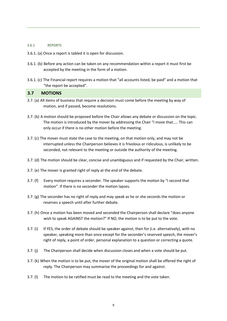#### 3.6.1 REPORTS

- 3.6.1. (a) Once a report is tabled it is open for discussion.
- 3.6.1. (b) Before any action can be taken on any recommendation within a report it must first be accepted by the meeting in the form of a motion.
- 3.6.1. (c) The Financial report requires a motion that "all accounts listed, be paid" and a motion that "the report be accepted".

#### **3.7 MOTIONS**

- 3.7. (a) All items of business that require a decision must come before the meeting by way of motion, and if passed, become resolutions.
- 3.7. (b) A motion should be proposed before the Chair allows any debate or discussion on the topic. The motion is introduced by the mover by addressing the Chair "I move that….. This can only occur if there is no other motion before the meeting.
- 3.7. (c) The mover must state the case to the meeting, on that motion only, and may not be interrupted unless the Chairperson believes it is frivolous or ridiculous, is unlikely to be seconded, not relevant to the meeting or outside the authority of the meeting.
- 3.7. (d) The motion should be clear, concise and unambiguous and if requested by the Chair, written.
- 3.7. (e) The mover is granted right of reply at the end of the debate.
- 3.7. (f) Every motion requires a seconder. The speaker supports the motion by "I second that motion". If there is no seconder the motion lapses.
- 3.7. (g) The seconder has no right of reply and may speak as he or she seconds the motion or reserves a speech until after further debate.
- 3.7. (h) Once a motion has been moved and seconded the Chairperson shall declare "does anyone wish to speak AGAINST the motion?" If NO, the motion is to be put to the vote.
- 3.7. (i) If YES, the order of debate should be speaker against, then for (i.e. alternatively), with no speaker, speaking more than once except for the seconder's reserved speech, the mover's right of reply, a point of order, personal explanation to a question or correcting a quote.
- 3.7. (j) The Chairperson shall decide when discussion closes and when a vote should be put.
- 3.7. (k) When the motion is to be put, the mover of the original motion shall be offered the right of reply. The Chairperson may summarise the proceedings for and against.
- 3.7. (l) The motion to be ratified must be read to the meeting and the vote taken.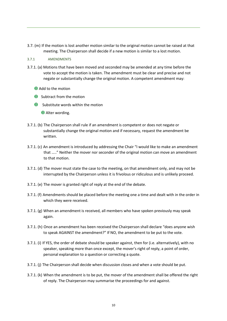- 3.7. (m) If the motion is lost another motion similar to the original motion cannot be raised at that meeting. The Chairperson shall decide if a new motion is similar to a lost motion.
- 3.7.1 AMENDMENTS
- 3.7.1. (a) Motions that have been moved and seconded may be amended at any time before the vote to accept the motion is taken. The amendment must be clear and precise and not negate or substantially change the original motion. A competent amendment may:
	- **Add to the motion**
	- **ID** Subtract from the motion
	- **ID** Substitute words within the motion

Alter wording.

- 3.7.1. (b) The Chairperson shall rule if an amendment is competent or does not negate or substantially change the original motion and if necessary, request the amendment be written.
- 3.7.1. (c) An amendment is introduced by addressing the Chair "I would like to make an amendment that ….." Neither the mover nor seconder of the original motion can move an amendment to that motion.
- 3.7.1. (d) The mover must state the case to the meeting, on that amendment only, and may not be interrupted by the Chairperson unless it is frivolous or ridiculous and is unlikely proceed.
- 3.7.1. (e) The mover is granted right of reply at the end of the debate.
- 3.7.1. (f) Amendments should be placed before the meeting one a time and dealt with in the order in which they were received.
- 3.7.1. (g) When an amendment is received, all members who have spoken previously may speak again.
- 3.7.1. (h) Once an amendment has been received the Chairperson shall declare "does anyone wish to speak AGAINST the amendment?" If NO, the amendment to be put to the vote.
- 3.7.1. (i) If YES, the order of debate should be speaker against, then for (i.e. alternatively), with no speaker, speaking more than once except, the mover's right of reply, a point of order, personal explanation to a question or correcting a quote.
- 3.7.1. (j) The Chairperson shall decide when discussion closes and when a vote should be put.
- 3.7.1. (k) When the amendment is to be put, the mover of the amendment shall be offered the right of reply. The Chairperson may summarise the proceedings for and against.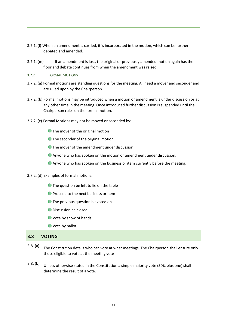- 3.7.1. (l) When an amendment is carried, it is incorporated in the motion, which can be further debated and amended.
- 3.7.1. (m) If an amendment is lost, the original or previously amended motion again has the floor and debate continues from when the amendment was raised.
- 3.7.2 FORMAL MOTIONS
- 3.7.2. (a) Formal motions are standing questions for the meeting. All need a mover and seconder and are ruled upon by the Chairperson.
- 3.7.2. (b) Formal motions may be introduced when a motion or amendment is under discussion or at any other time in the meeting. Once introduced further discussion is suspended until the Chairperson rules on the formal motion.
- 3.7.2. (c) Formal Motions may not be moved or seconded by:
	- **I** The mover of the original motion
	- **The seconder of the original motion**
	- **I** The mover of the amendment under discussion
	- Anyone who has spoken on the motion or amendment under discussion.
	- Anyone who has spoken on the business or item currently before the meeting.
- 3.7.2. (d) Examples of formal motions:
	- **I** The question be left to lie on the table
	- **Proceed to the next business or item**
	- **I** The previous question be voted on
	- Discussion be closed
	- Vote by show of hands
	- **U** Vote by ballot

#### **3.8 VOTING**

- 3.8. (a) The Constitution details who can vote at what meetings. The Chairperson shall ensure only those eligible to vote at the meeting vote
- 3.8. (b) Unless otherwise stated in the Constitution a simple majority vote (50% plus one) shall determine the result of a vote.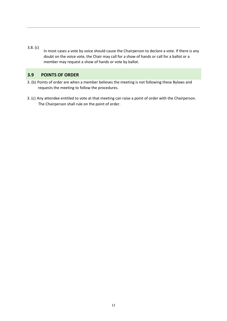- 3.8. (c)
	- In most cases a vote by voice should cause the Chairperson to declare a vote. If there is any doubt on the voice vote, the Chair may call for a show of hands or call for a ballot or a member may request a show of hands or vote by ballot.

# **3.9 POINTS OF ORDER**

- 3. (b) Points of order are when a member believes the meeting is not following these Bylaws and requests the meeting to follow the procedures.
- 3. (c) Any attendee entitled to vote at that meeting can raise a point of order with the Chairperson. The Chairperson shall rule on the point of order.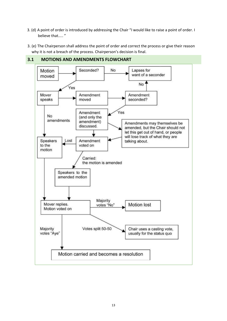- 3. (d) A point of order is introduced by addressing the Chair "I would like to raise a point of order. I believe that….. "
- 3. (e) The Chairperson shall address the point of order and correct the process or give their reason why it is not a breach of the process. Chairperson's decision is final.



# **3.1 MOTIONS AND AMENDMENTS FLOWCHART**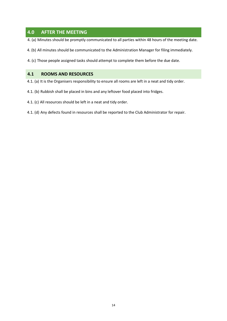# **4.0 AFTER THE MEETING**

- 4. (a) Minutes should be promptly communicated to all parties within 48 hours of the meeting date.
- 4. (b) All minutes should be communicated to the Administration Manager for filing immediately.
- 4. (c) Those people assigned tasks should attempt to complete them before the due date.

### **4.1 ROOMS AND RESOURCES**

- 4.1. (a) It is the Organisers responsibility to ensure all rooms are left in a neat and tidy order.
- 4.1. (b) Rubbish shall be placed in bins and any leftover food placed into fridges.
- 4.1. (c) All resources should be left in a neat and tidy order.
- 4.1. (d) Any defects found in resources shall be reported to the Club Administrator for repair.